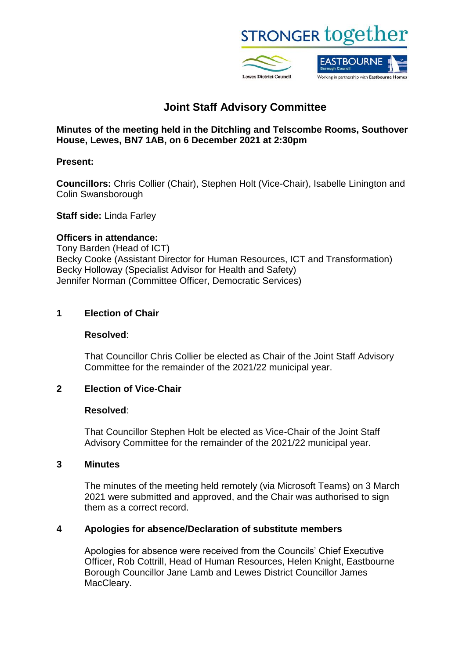

# **Joint Staff Advisory Committee**

**Minutes of the meeting held in the Ditchling and Telscombe Rooms, Southover House, Lewes, BN7 1AB, on 6 December 2021 at 2:30pm**

# **Present:**

**Councillors:** Chris Collier (Chair), Stephen Holt (Vice-Chair), Isabelle Linington and Colin Swansborough

## **Staff side:** Linda Farley

#### **Officers in attendance:**

Tony Barden (Head of ICT) Becky Cooke (Assistant Director for Human Resources, ICT and Transformation) Becky Holloway (Specialist Advisor for Health and Safety) Jennifer Norman (Committee Officer, Democratic Services)

## **1 Election of Chair**

#### **Resolved**:

That Councillor Chris Collier be elected as Chair of the Joint Staff Advisory Committee for the remainder of the 2021/22 municipal year.

# **2 Election of Vice-Chair**

#### **Resolved**:

That Councillor Stephen Holt be elected as Vice-Chair of the Joint Staff Advisory Committee for the remainder of the 2021/22 municipal year.

#### **3 Minutes**

The minutes of the meeting held remotely (via Microsoft Teams) on 3 March 2021 were submitted and approved, and the Chair was authorised to sign them as a correct record.

# **4 Apologies for absence/Declaration of substitute members**

Apologies for absence were received from the Councils' Chief Executive Officer, Rob Cottrill, Head of Human Resources, Helen Knight, Eastbourne Borough Councillor Jane Lamb and Lewes District Councillor James MacCleary.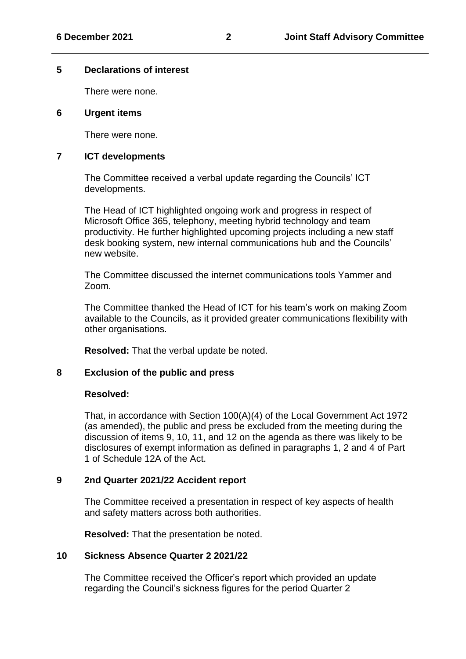#### **5 Declarations of interest**

There were none.

#### **6 Urgent items**

There were none.

#### **7 ICT developments**

The Committee received a verbal update regarding the Councils' ICT developments.

The Head of ICT highlighted ongoing work and progress in respect of Microsoft Office 365, telephony, meeting hybrid technology and team productivity. He further highlighted upcoming projects including a new staff desk booking system, new internal communications hub and the Councils' new website.

The Committee discussed the internet communications tools Yammer and Zoom.

The Committee thanked the Head of ICT for his team's work on making Zoom available to the Councils, as it provided greater communications flexibility with other organisations.

**Resolved:** That the verbal update be noted.

#### **8 Exclusion of the public and press**

#### **Resolved:**

That, in accordance with Section 100(A)(4) of the Local Government Act 1972 (as amended), the public and press be excluded from the meeting during the discussion of items 9, 10, 11, and 12 on the agenda as there was likely to be disclosures of exempt information as defined in paragraphs 1, 2 and 4 of Part 1 of Schedule 12A of the Act.

#### **9 2nd Quarter 2021/22 Accident report**

The Committee received a presentation in respect of key aspects of health and safety matters across both authorities.

**Resolved:** That the presentation be noted.

#### **10 Sickness Absence Quarter 2 2021/22**

The Committee received the Officer's report which provided an update regarding the Council's sickness figures for the period Quarter 2